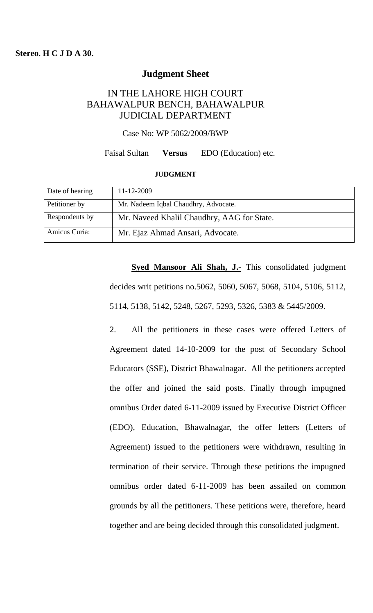## **Judgment Sheet**

# IN THE LAHORE HIGH COURT BAHAWALPUR BENCH, BAHAWALPUR JUDICIAL DEPARTMENT

Case No: WP 5062/2009/BWP

#### Faisal Sultan **Versus** EDO (Education) etc.

#### **JUDGMENT**

| Date of hearing | 11-12-2009                                 |
|-----------------|--------------------------------------------|
| Petitioner by   | Mr. Nadeem Iqbal Chaudhry, Advocate.       |
| Respondents by  | Mr. Naveed Khalil Chaudhry, AAG for State. |
| Amicus Curia:   | Mr. Ejaz Ahmad Ansari, Advocate.           |

**Syed Mansoor Ali Shah, J.-** This consolidated judgment decides writ petitions no.5062, 5060, 5067, 5068, 5104, 5106, 5112, 5114, 5138, 5142, 5248, 5267, 5293, 5326, 5383 & 5445/2009.

2. All the petitioners in these cases were offered Letters of Agreement dated 14-10-2009 for the post of Secondary School Educators (SSE), District Bhawalnagar. All the petitioners accepted the offer and joined the said posts. Finally through impugned omnibus Order dated 6-11-2009 issued by Executive District Officer (EDO), Education, Bhawalnagar, the offer letters (Letters of Agreement) issued to the petitioners were withdrawn, resulting in termination of their service. Through these petitions the impugned omnibus order dated 6-11-2009 has been assailed on common grounds by all the petitioners. These petitions were, therefore, heard together and are being decided through this consolidated judgment.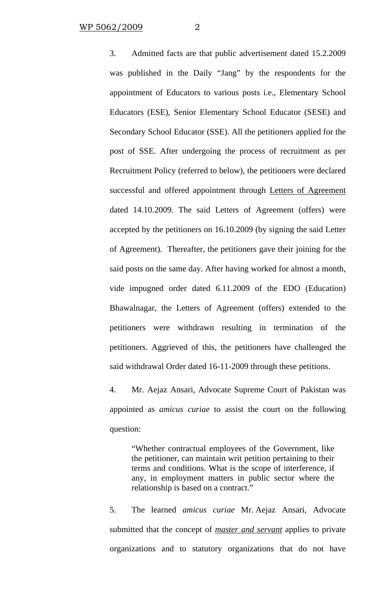3. Admitted facts are that public advertisement dated 15.2.2009 was published in the Daily "Jang" by the respondents for the appointment of Educators to various posts i.e., Elementary School Educators (ESE), Senior Elementary School Educator (SESE) and Secondary School Educator (SSE). All the petitioners applied for the post of SSE. After undergoing the process of recruitment as per Recruitment Policy (referred to below), the petitioners were declared successful and offered appointment through Letters of Agreement dated 14.10.2009. The said Letters of Agreement (offers) were accepted by the petitioners on 16.10.2009 (by signing the said Letter of Agreement). Thereafter, the petitioners gave their joining for the said posts on the same day. After having worked for almost a month, vide impugned order dated 6.11.2009 of the EDO (Education) Bhawalnagar, the Letters of Agreement (offers) extended to the petitioners were withdrawn resulting in termination of the petitioners. Aggrieved of this, the petitioners have challenged the said withdrawal Order dated 16-11-2009 through these petitions.

4. Mr. Aejaz Ansari, Advocate Supreme Court of Pakistan was appointed as *amicus curiae* to assist the court on the following question:

"Whether contractual employees of the Government, like the petitioner, can maintain writ petition pertaining to their terms and conditions. What is the scope of interference, if any, in employment matters in public sector where the relationship is based on a contract."

5. The learned *amicus curiae* Mr. Aejaz Ansari, Advocate submitted that the concept of *master and servant* applies to private organizations and to statutory organizations that do not have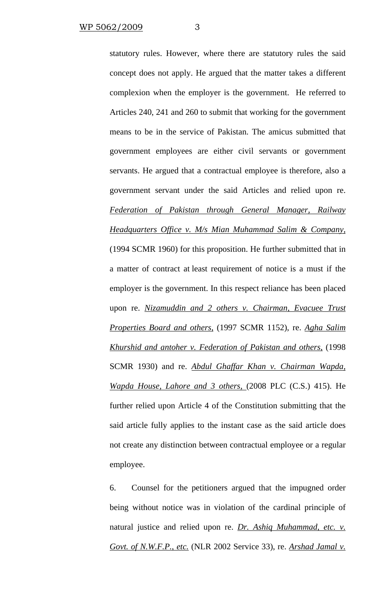statutory rules. However, where there are statutory rules the said concept does not apply. He argued that the matter takes a different complexion when the employer is the government. He referred to Articles 240, 241 and 260 to submit that working for the government means to be in the service of Pakistan. The amicus submitted that government employees are either civil servants or government servants. He argued that a contractual employee is therefore, also a government servant under the said Articles and relied upon re. *Federation of Pakistan through General Manager, Railway Headquarters Office v. M/s Mian Muhammad Salim & Company,* (1994 SCMR 1960) for this proposition. He further submitted that in a matter of contract at least requirement of notice is a must if the employer is the government. In this respect reliance has been placed upon re. *Nizamuddin and 2 others v. Chairman, Evacuee Trust Properties Board and others,* (1997 SCMR 1152), re. *Agha Salim Khurshid and antoher v. Federation of Pakistan and others,* (1998 SCMR 1930) and re. *Abdul Ghaffar Khan v. Chairman Wapda, Wapda House, Lahore and 3 others,* (2008 PLC (C.S.) 415). He further relied upon Article 4 of the Constitution submitting that the said article fully applies to the instant case as the said article does not create any distinction between contractual employee or a regular employee.

6. Counsel for the petitioners argued that the impugned order being without notice was in violation of the cardinal principle of natural justice and relied upon re. *Dr. Ashiq Muhammad, etc. v. Govt. of N.W.F.P., etc.* (NLR 2002 Service 33), re. *Arshad Jamal v.*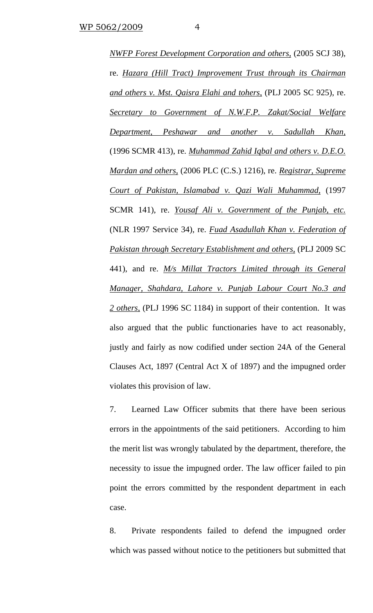*NWFP Forest Development Corporation and others,* (2005 SCJ 38), re. *Hazara (Hill Tract) Improvement Trust through its Chairman and others v. Mst. Qaisra Elahi and tohers,* (PLJ 2005 SC 925), re. *Secretary to Government of N.W.F.P. Zakat/Social Welfare Department, Peshawar and another v. Sadullah Khan,*  (1996 SCMR 413), re. *Muhammad Zahid Iqbal and others v. D.E.O. Mardan and others,* (2006 PLC (C.S.) 1216), re. *Registrar, Supreme Court of Pakistan, Islamabad v. Qazi Wali Muhammad,* (1997 SCMR 141), re. *Yousaf Ali v. Government of the Punjab, etc.* (NLR 1997 Service 34), re. *Fuad Asadullah Khan v. Federation of Pakistan through Secretary Establishment and others,* (PLJ 2009 SC 441), and re. *M/s Millat Tractors Limited through its General Manager, Shahdara, Lahore v. Punjab Labour Court No.3 and 2 others,* (PLJ 1996 SC 1184) in support of their contention. It was also argued that the public functionaries have to act reasonably, justly and fairly as now codified under section 24A of the General Clauses Act, 1897 (Central Act X of 1897) and the impugned order violates this provision of law.

7. Learned Law Officer submits that there have been serious errors in the appointments of the said petitioners. According to him the merit list was wrongly tabulated by the department, therefore, the necessity to issue the impugned order. The law officer failed to pin point the errors committed by the respondent department in each case.

8. Private respondents failed to defend the impugned order which was passed without notice to the petitioners but submitted that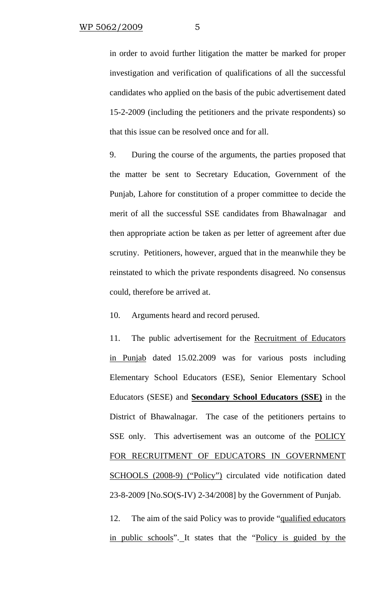in order to avoid further litigation the matter be marked for proper investigation and verification of qualifications of all the successful candidates who applied on the basis of the pubic advertisement dated 15-2-2009 (including the petitioners and the private respondents) so that this issue can be resolved once and for all.

9. During the course of the arguments, the parties proposed that the matter be sent to Secretary Education, Government of the Punjab, Lahore for constitution of a proper committee to decide the merit of all the successful SSE candidates from Bhawalnagar and then appropriate action be taken as per letter of agreement after due scrutiny. Petitioners, however, argued that in the meanwhile they be reinstated to which the private respondents disagreed. No consensus could, therefore be arrived at.

10. Arguments heard and record perused.

11. The public advertisement for the Recruitment of Educators in Punjab dated 15.02.2009 was for various posts including Elementary School Educators (ESE), Senior Elementary School Educators (SESE) and **Secondary School Educators (SSE)** in the District of Bhawalnagar. The case of the petitioners pertains to SSE only. This advertisement was an outcome of the **POLICY** FOR RECRUITMENT OF EDUCATORS IN GOVERNMENT SCHOOLS (2008-9) ("Policy") circulated vide notification dated 23-8-2009 [No.SO(S-IV) 2-34/2008] by the Government of Punjab.

12. The aim of the said Policy was to provide "qualified educators in public schools". It states that the "Policy is guided by the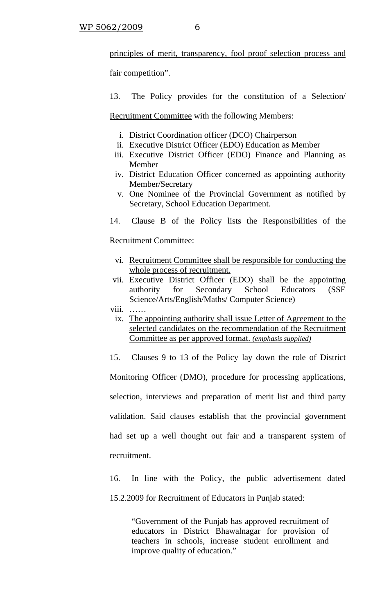principles of merit, transparency, fool proof selection process and

fair competition".

13. The Policy provides for the constitution of a Selection/

Recruitment Committee with the following Members:

- i. District Coordination officer (DCO) Chairperson
- ii. Executive District Officer (EDO) Education as Member
- iii. Executive District Officer (EDO) Finance and Planning as Member
- iv. District Education Officer concerned as appointing authority Member/Secretary
- v. One Nominee of the Provincial Government as notified by Secretary, School Education Department.
- 14. Clause B of the Policy lists the Responsibilities of the

Recruitment Committee:

- vi. Recruitment Committee shall be responsible for conducting the whole process of recruitment.
- vii. Executive District Officer (EDO) shall be the appointing authority for Secondary School Educators (SSE Science/Arts/English/Maths/ Computer Science)
- viii. ……
	- ix. The appointing authority shall issue Letter of Agreement to the selected candidates on the recommendation of the Recruitment Committee as per approved format. *(emphasis supplied)*

15. Clauses 9 to 13 of the Policy lay down the role of District

Monitoring Officer (DMO), procedure for processing applications, selection, interviews and preparation of merit list and third party validation. Said clauses establish that the provincial government had set up a well thought out fair and a transparent system of

recruitment.

16. In line with the Policy, the public advertisement dated 15.2.2009 for Recruitment of Educators in Punjab stated:

"Government of the Punjab has approved recruitment of educators in District Bhawalnagar for provision of teachers in schools, increase student enrollment and improve quality of education."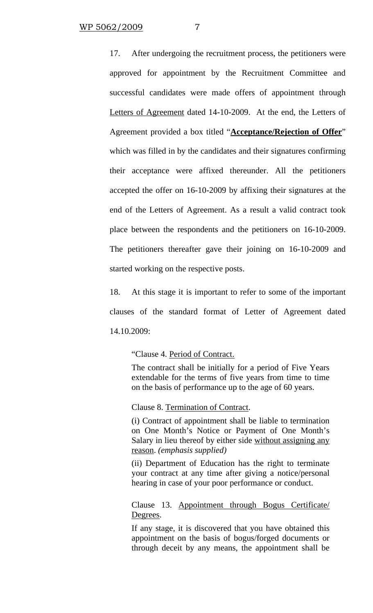17. After undergoing the recruitment process, the petitioners were approved for appointment by the Recruitment Committee and successful candidates were made offers of appointment through Letters of Agreement dated 14-10-2009. At the end, the Letters of Agreement provided a box titled "**Acceptance/Rejection of Offer**" which was filled in by the candidates and their signatures confirming their acceptance were affixed thereunder. All the petitioners accepted the offer on 16-10-2009 by affixing their signatures at the end of the Letters of Agreement. As a result a valid contract took place between the respondents and the petitioners on 16-10-2009. The petitioners thereafter gave their joining on 16-10-2009 and started working on the respective posts.

18. At this stage it is important to refer to some of the important clauses of the standard format of Letter of Agreement dated 14.10.2009:

"Clause 4. Period of Contract.

The contract shall be initially for a period of Five Years extendable for the terms of five years from time to time on the basis of performance up to the age of 60 years.

Clause 8. Termination of Contract.

(i) Contract of appointment shall be liable to termination on One Month's Notice or Payment of One Month's Salary in lieu thereof by either side without assigning any reason. *(emphasis supplied)*

(ii) Department of Education has the right to terminate your contract at any time after giving a notice/personal hearing in case of your poor performance or conduct.

Clause 13. Appointment through Bogus Certificate/ Degrees.

If any stage, it is discovered that you have obtained this appointment on the basis of bogus/forged documents or through deceit by any means, the appointment shall be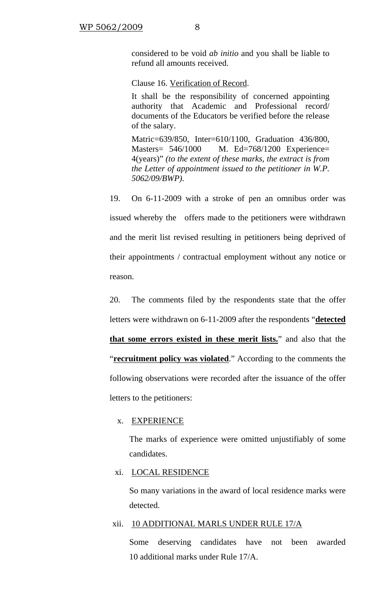considered to be void *ab initio* and you shall be liable to refund all amounts received.

Clause 16. Verification of Record.

It shall be the responsibility of concerned appointing authority that Academic and Professional record/ documents of the Educators be verified before the release of the salary.

Matric=639/850, Inter=610/1100, Graduation 436/800, Masters= 546/1000 M. Ed=768/1200 Experience= 4(years)" *(to the extent of these marks, the extract is from the Letter of appointment issued to the petitioner in W.P. 5062/09/BWP).*

19. On 6-11-2009 with a stroke of pen an omnibus order was issued whereby the offers made to the petitioners were withdrawn and the merit list revised resulting in petitioners being deprived of their appointments / contractual employment without any notice or reason.

20. The comments filed by the respondents state that the offer letters were withdrawn on 6-11-2009 after the respondents "**detected that some errors existed in these merit lists.**" and also that the "**recruitment policy was violated**." According to the comments the following observations were recorded after the issuance of the offer letters to the petitioners:

## x. EXPERIENCE

The marks of experience were omitted unjustifiably of some candidates.

### xi. LOCAL RESIDENCE

So many variations in the award of local residence marks were detected.

### xii. 10 ADDITIONAL MARLS UNDER RULE 17/A

Some deserving candidates have not been awarded 10 additional marks under Rule 17/A.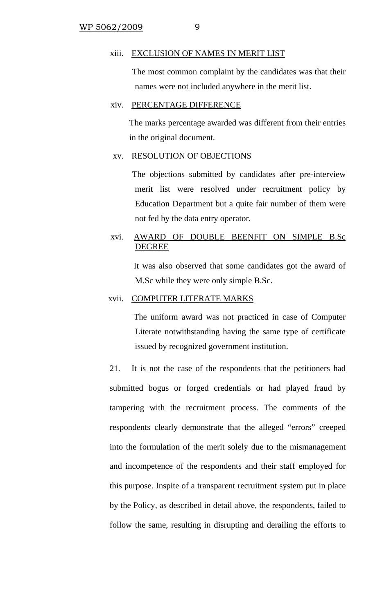#### xiii. EXCLUSION OF NAMES IN MERIT LIST

 The most common complaint by the candidates was that their names were not included anywhere in the merit list.

## xiv. PERCENTAGE DIFFERENCE

The marks percentage awarded was different from their entries in the original document.

## xv. RESOLUTION OF OBJECTIONS

 The objections submitted by candidates after pre-interview merit list were resolved under recruitment policy by Education Department but a quite fair number of them were not fed by the data entry operator.

## xvi. AWARD OF DOUBLE BEENFIT ON SIMPLE B.Sc DEGREE

 It was also observed that some candidates got the award of M.Sc while they were only simple B.Sc.

## xvii. COMPUTER LITERATE MARKS

 The uniform award was not practiced in case of Computer Literate notwithstanding having the same type of certificate issued by recognized government institution.

21. It is not the case of the respondents that the petitioners had submitted bogus or forged credentials or had played fraud by tampering with the recruitment process. The comments of the respondents clearly demonstrate that the alleged "errors" creeped into the formulation of the merit solely due to the mismanagement and incompetence of the respondents and their staff employed for this purpose. Inspite of a transparent recruitment system put in place by the Policy, as described in detail above, the respondents, failed to follow the same, resulting in disrupting and derailing the efforts to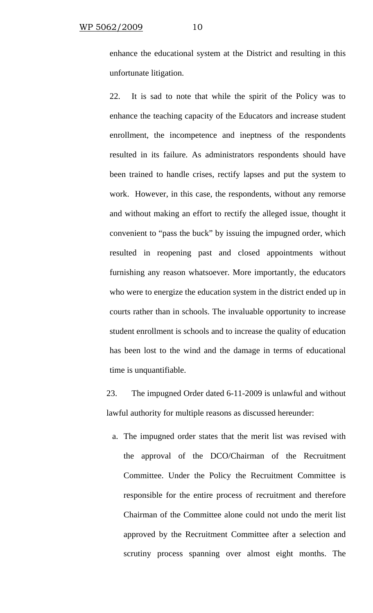enhance the educational system at the District and resulting in this unfortunate litigation.

22. It is sad to note that while the spirit of the Policy was to enhance the teaching capacity of the Educators and increase student enrollment, the incompetence and ineptness of the respondents resulted in its failure. As administrators respondents should have been trained to handle crises, rectify lapses and put the system to work. However, in this case, the respondents, without any remorse and without making an effort to rectify the alleged issue, thought it convenient to "pass the buck" by issuing the impugned order, which resulted in reopening past and closed appointments without furnishing any reason whatsoever. More importantly, the educators who were to energize the education system in the district ended up in courts rather than in schools. The invaluable opportunity to increase student enrollment is schools and to increase the quality of education has been lost to the wind and the damage in terms of educational time is unquantifiable.

23. The impugned Order dated 6-11-2009 is unlawful and without lawful authority for multiple reasons as discussed hereunder:

a. The impugned order states that the merit list was revised with the approval of the DCO/Chairman of the Recruitment Committee. Under the Policy the Recruitment Committee is responsible for the entire process of recruitment and therefore Chairman of the Committee alone could not undo the merit list approved by the Recruitment Committee after a selection and scrutiny process spanning over almost eight months. The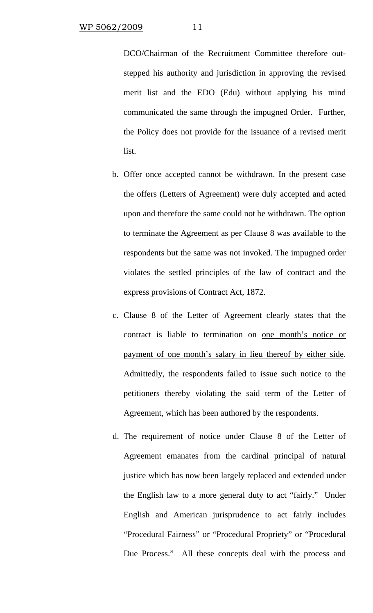DCO/Chairman of the Recruitment Committee therefore outstepped his authority and jurisdiction in approving the revised merit list and the EDO (Edu) without applying his mind communicated the same through the impugned Order. Further, the Policy does not provide for the issuance of a revised merit list.

- b. Offer once accepted cannot be withdrawn. In the present case the offers (Letters of Agreement) were duly accepted and acted upon and therefore the same could not be withdrawn. The option to terminate the Agreement as per Clause 8 was available to the respondents but the same was not invoked. The impugned order violates the settled principles of the law of contract and the express provisions of Contract Act, 1872.
- c. Clause 8 of the Letter of Agreement clearly states that the contract is liable to termination on one month's notice or payment of one month's salary in lieu thereof by either side. Admittedly, the respondents failed to issue such notice to the petitioners thereby violating the said term of the Letter of Agreement, which has been authored by the respondents.
- d. The requirement of notice under Clause 8 of the Letter of Agreement emanates from the cardinal principal of natural justice which has now been largely replaced and extended under the English law to a more general duty to act "fairly." Under English and American jurisprudence to act fairly includes "Procedural Fairness" or "Procedural Propriety" or "Procedural Due Process." All these concepts deal with the process and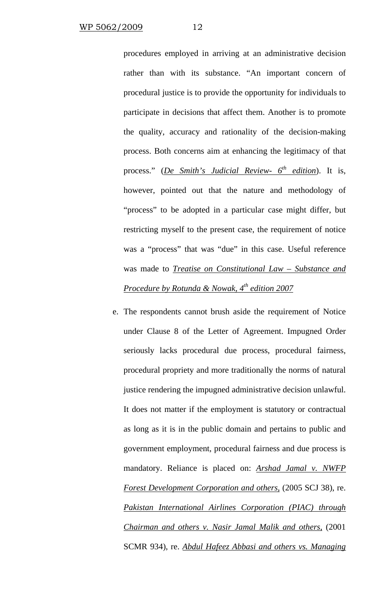procedures employed in arriving at an administrative decision rather than with its substance. "An important concern of procedural justice is to provide the opportunity for individuals to participate in decisions that affect them. Another is to promote the quality, accuracy and rationality of the decision-making process. Both concerns aim at enhancing the legitimacy of that process." (*De Smith's Judicial Review- 6th edition*). It is, however, pointed out that the nature and methodology of "process" to be adopted in a particular case might differ, but restricting myself to the present case, the requirement of notice was a "process" that was "due" in this case. Useful reference was made to *Treatise on Constitutional Law – Substance and Procedure by Rotunda & Nowak, 4th edition 2007*

e. The respondents cannot brush aside the requirement of Notice under Clause 8 of the Letter of Agreement. Impugned Order seriously lacks procedural due process, procedural fairness, procedural propriety and more traditionally the norms of natural justice rendering the impugned administrative decision unlawful. It does not matter if the employment is statutory or contractual as long as it is in the public domain and pertains to public and government employment, procedural fairness and due process is mandatory. Reliance is placed on: *Arshad Jamal v. NWFP Forest Development Corporation and others,* (2005 SCJ 38), re. *Pakistan International Airlines Corporation (PIAC) through Chairman and others v. Nasir Jamal Malik and others,* (2001 SCMR 934), re. *Abdul Hafeez Abbasi and others vs. Managing*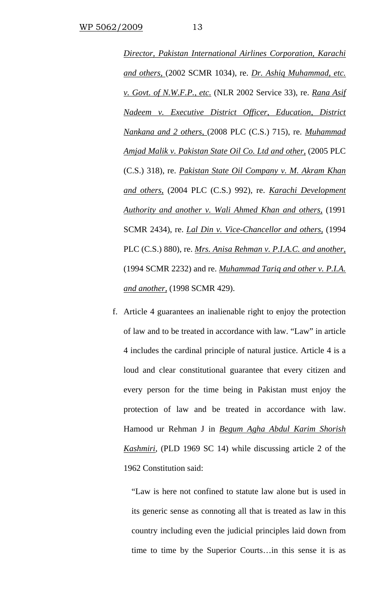*Director, Pakistan International Airlines Corporation, Karachi and others,* (2002 SCMR 1034), re. *Dr. Ashiq Muhammad, etc. v. Govt. of N.W.F.P., etc.* (NLR 2002 Service 33), re. *Rana Asif Nadeem v. Executive District Officer, Education, District Nankana and 2 others,* (2008 PLC (C.S.) 715), re. *Muhammad Amjad Malik v. Pakistan State Oil Co. Ltd and other,* (2005 PLC (C.S.) 318), re. *Pakistan State Oil Company v. M. Akram Khan and others,* (2004 PLC (C.S.) 992), re. *Karachi Development Authority and another v. Wali Ahmed Khan and others,* (1991 SCMR 2434), re. *Lal Din v. Vice-Chancellor and others,* (1994 PLC (C.S.) 880), re. *Mrs. Anisa Rehman v. P.I.A.C. and another,* (1994 SCMR 2232) and re. *Muhammad Tariq and other v. P.I.A. and another,* (1998 SCMR 429).

f. Article 4 guarantees an inalienable right to enjoy the protection of law and to be treated in accordance with law. "Law" in article 4 includes the cardinal principle of natural justice. Article 4 is a loud and clear constitutional guarantee that every citizen and every person for the time being in Pakistan must enjoy the protection of law and be treated in accordance with law. Hamood ur Rehman J in *Begum Agha Abdul Karim Shorish Kashmiri*, (PLD 1969 SC 14) while discussing article 2 of the 1962 Constitution said:

"Law is here not confined to statute law alone but is used in its generic sense as connoting all that is treated as law in this country including even the judicial principles laid down from time to time by the Superior Courts…in this sense it is as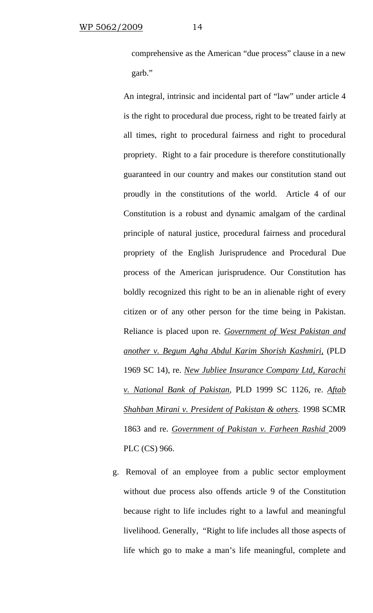comprehensive as the American "due process" clause in a new garb."

An integral, intrinsic and incidental part of "law" under article 4 is the right to procedural due process, right to be treated fairly at all times, right to procedural fairness and right to procedural propriety. Right to a fair procedure is therefore constitutionally guaranteed in our country and makes our constitution stand out proudly in the constitutions of the world. Article 4 of our Constitution is a robust and dynamic amalgam of the cardinal principle of natural justice, procedural fairness and procedural propriety of the English Jurisprudence and Procedural Due process of the American jurisprudence. Our Constitution has boldly recognized this right to be an in alienable right of every citizen or of any other person for the time being in Pakistan. Reliance is placed upon re. *Government of West Pakistan and another v. Begum Agha Abdul Karim Shorish Kashmiri,* (PLD 1969 SC 14), re. *New Jubliee Insurance Company Ltd, Karachi v. National Bank of Pakistan*, PLD 1999 SC 1126, re. *Aftab Shahban Mirani v. President of Pakistan & others*. 1998 SCMR 1863 and re. *Government of Pakistan v. Farheen Rashid* 2009 PLC (CS) 966.

g. Removal of an employee from a public sector employment without due process also offends article 9 of the Constitution because right to life includes right to a lawful and meaningful livelihood. Generally, "Right to life includes all those aspects of life which go to make a man's life meaningful, complete and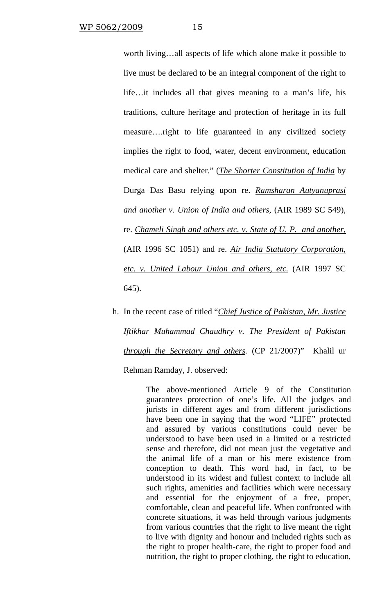worth living…all aspects of life which alone make it possible to live must be declared to be an integral component of the right to life…it includes all that gives meaning to a man's life, his traditions, culture heritage and protection of heritage in its full measure….right to life guaranteed in any civilized society implies the right to food, water, decent environment, education medical care and shelter." (*The Shorter Constitution of India* by Durga Das Basu relying upon re. *Ramsharan Autyanuprasi and another v. Union of India and others,* (AIR 1989 SC 549), re. *Chameli Singh and others etc. v. State of U. P. and another,* (AIR 1996 SC 1051) and re. *Air India Statutory Corporation, etc. v. United Labour Union and others, etc.* (AIR 1997 SC 645).

h. In the recent case of titled "*Chief Justice of Pakistan, Mr. Justice Iftikhar Muhammad Chaudhry v. The President of Pakistan through the Secretary and others.* (CP 21/2007)" Khalil ur

Rehman Ramday, J. observed:

The above-mentioned Article 9 of the Constitution guarantees protection of one's life. All the judges and jurists in different ages and from different jurisdictions have been one in saying that the word "LIFE" protected and assured by various constitutions could never be understood to have been used in a limited or a restricted sense and therefore, did not mean just the vegetative and the animal life of a man or his mere existence from conception to death. This word had, in fact, to be understood in its widest and fullest context to include all such rights, amenities and facilities which were necessary and essential for the enjoyment of a free, proper, comfortable, clean and peaceful life. When confronted with concrete situations, it was held through various judgments from various countries that the right to live meant the right to live with dignity and honour and included rights such as the right to proper health-care, the right to proper food and nutrition, the right to proper clothing, the right to education,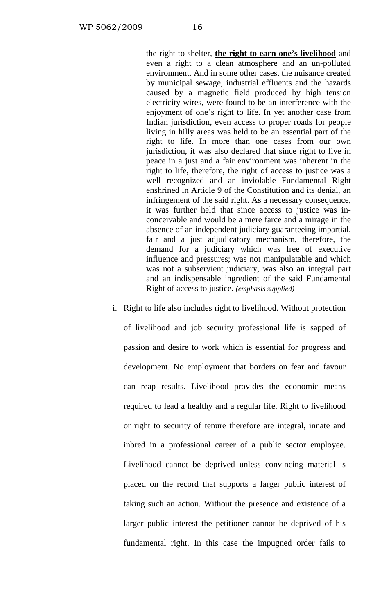the right to shelter, **the right to earn one's livelihood** and even a right to a clean atmosphere and an un-polluted environment. And in some other cases, the nuisance created by municipal sewage, industrial effluents and the hazards caused by a magnetic field produced by high tension electricity wires, were found to be an interference with the enjoyment of one's right to life. In yet another case from Indian jurisdiction, even access to proper roads for people living in hilly areas was held to be an essential part of the right to life. In more than one cases from our own jurisdiction, it was also declared that since right to live in peace in a just and a fair environment was inherent in the right to life, therefore, the right of access to justice was a well recognized and an inviolable Fundamental Right enshrined in Article 9 of the Constitution and its denial, an infringement of the said right. As a necessary consequence, it was further held that since access to justice was inconceivable and would be a mere farce and a mirage in the absence of an independent judiciary guaranteeing impartial, fair and a just adjudicatory mechanism, therefore, the demand for a judiciary which was free of executive influence and pressures; was not manipulatable and which was not a subservient judiciary, was also an integral part and an indispensable ingredient of the said Fundamental Right of access to justice. *(emphasis supplied)*

i. Right to life also includes right to livelihood. Without protection of livelihood and job security professional life is sapped of passion and desire to work which is essential for progress and development. No employment that borders on fear and favour can reap results. Livelihood provides the economic means required to lead a healthy and a regular life. Right to livelihood or right to security of tenure therefore are integral, innate and inbred in a professional career of a public sector employee. Livelihood cannot be deprived unless convincing material is placed on the record that supports a larger public interest of taking such an action. Without the presence and existence of a larger public interest the petitioner cannot be deprived of his fundamental right. In this case the impugned order fails to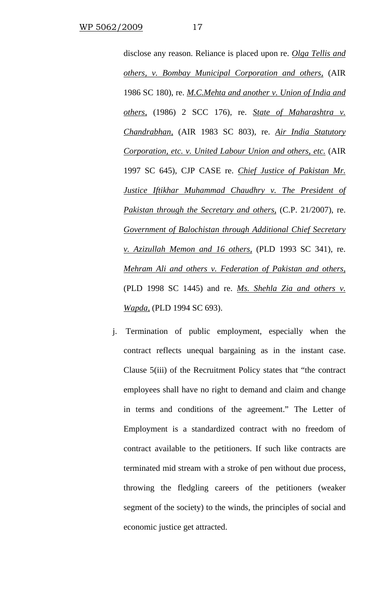disclose any reason. Reliance is placed upon re. *Olga Tellis and others, v. Bombay Municipal Corporation and others,* (AIR 1986 SC 180), re. *M.C.Mehta and another v. Union of India and others,* (1986) 2 SCC 176), re. *State of Maharashtra v. Chandrabhan,* (AIR 1983 SC 803), re. *Air India Statutory Corporation, etc. v. United Labour Union and others, etc.* (AIR 1997 SC 645), CJP CASE re. *Chief Justice of Pakistan Mr. Justice Iftikhar Muhammad Chaudhry v. The President of Pakistan through the Secretary and others,* (C.P. 21/2007), re. *Government of Balochistan through Additional Chief Secretary v. Azizullah Memon and 16 others,* (PLD 1993 SC 341), re. *Mehram Ali and others v. Federation of Pakistan and others,* (PLD 1998 SC 1445) and re. *Ms. Shehla Zia and others v. Wapda,* (PLD 1994 SC 693).

j. Termination of public employment, especially when the contract reflects unequal bargaining as in the instant case. Clause 5(iii) of the Recruitment Policy states that "the contract employees shall have no right to demand and claim and change in terms and conditions of the agreement." The Letter of Employment is a standardized contract with no freedom of contract available to the petitioners. If such like contracts are terminated mid stream with a stroke of pen without due process, throwing the fledgling careers of the petitioners (weaker segment of the society) to the winds, the principles of social and economic justice get attracted.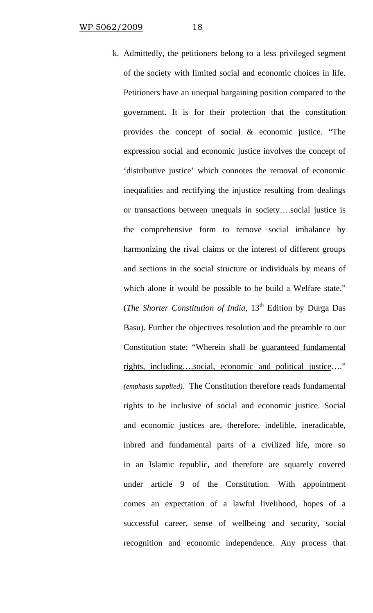k. Admittedly, the petitioners belong to a less privileged segment of the society with limited social and economic choices in life. Petitioners have an unequal bargaining position compared to the government. It is for their protection that the constitution provides the concept of social & economic justice. "The expression social and economic justice involves the concept of 'distributive justice' which connotes the removal of economic inequalities and rectifying the injustice resulting from dealings or transactions between unequals in society….social justice is the comprehensive form to remove social imbalance by harmonizing the rival claims or the interest of different groups and sections in the social structure or individuals by means of which alone it would be possible to be build a Welfare state." (*The Shorter Constitution of India*, 13<sup>th</sup> Edition by Durga Das Basu). Further the objectives resolution and the preamble to our Constitution state: "Wherein shall be guaranteed fundamental rights, including….social, economic and political justice…." *(emphasis supplied).* The Constitution therefore reads fundamental rights to be inclusive of social and economic justice. Social and economic justices are, therefore, indelible, ineradicable, inbred and fundamental parts of a civilized life, more so in an Islamic republic, and therefore are squarely covered under article 9 of the Constitution. With appointment comes an expectation of a lawful livelihood, hopes of a successful career, sense of wellbeing and security, social recognition and economic independence. Any process that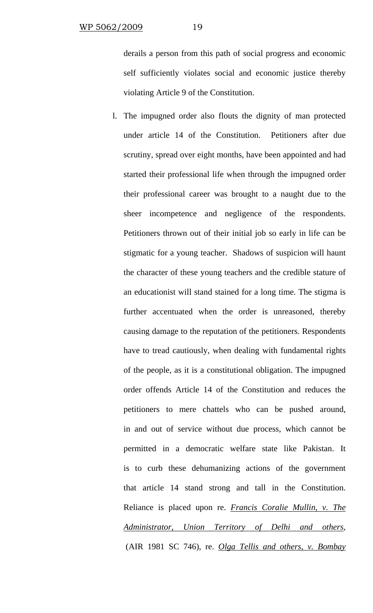derails a person from this path of social progress and economic self sufficiently violates social and economic justice thereby violating Article 9 of the Constitution.

l. The impugned order also flouts the dignity of man protected under article 14 of the Constitution. Petitioners after due scrutiny, spread over eight months, have been appointed and had started their professional life when through the impugned order their professional career was brought to a naught due to the sheer incompetence and negligence of the respondents. Petitioners thrown out of their initial job so early in life can be stigmatic for a young teacher. Shadows of suspicion will haunt the character of these young teachers and the credible stature of an educationist will stand stained for a long time. The stigma is further accentuated when the order is unreasoned, thereby causing damage to the reputation of the petitioners. Respondents have to tread cautiously, when dealing with fundamental rights of the people, as it is a constitutional obligation. The impugned order offends Article 14 of the Constitution and reduces the petitioners to mere chattels who can be pushed around, in and out of service without due process, which cannot be permitted in a democratic welfare state like Pakistan. It is to curb these dehumanizing actions of the government that article 14 stand strong and tall in the Constitution. Reliance is placed upon re. *Francis Coralie Mullin, v. The Administrator, Union Territory of Delhi and others,*  (AIR 1981 SC 746), re. *Olga Tellis and others, v. Bombay*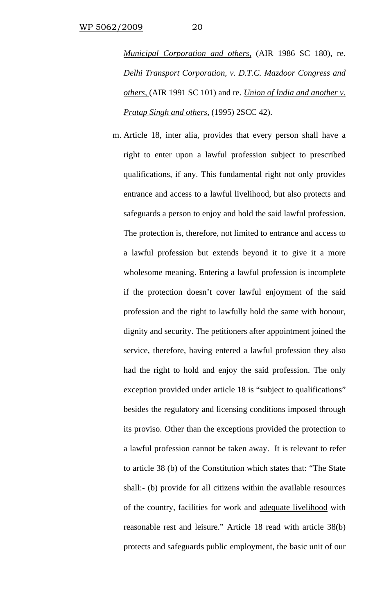*Municipal Corporation and others,* (AIR 1986 SC 180), re. *Delhi Transport Corporation, v. D.T.C. Mazdoor Congress and others,* (AIR 1991 SC 101) and re. *Union of India and another v. Pratap Singh and others,* (1995) 2SCC 42).

m. Article 18, inter alia, provides that every person shall have a right to enter upon a lawful profession subject to prescribed qualifications, if any. This fundamental right not only provides entrance and access to a lawful livelihood, but also protects and safeguards a person to enjoy and hold the said lawful profession. The protection is, therefore, not limited to entrance and access to a lawful profession but extends beyond it to give it a more wholesome meaning. Entering a lawful profession is incomplete if the protection doesn't cover lawful enjoyment of the said profession and the right to lawfully hold the same with honour, dignity and security. The petitioners after appointment joined the service, therefore, having entered a lawful profession they also had the right to hold and enjoy the said profession. The only exception provided under article 18 is "subject to qualifications" besides the regulatory and licensing conditions imposed through its proviso. Other than the exceptions provided the protection to a lawful profession cannot be taken away. It is relevant to refer to article 38 (b) of the Constitution which states that: "The State shall:- (b) provide for all citizens within the available resources of the country, facilities for work and adequate livelihood with reasonable rest and leisure." Article 18 read with article 38(b) protects and safeguards public employment, the basic unit of our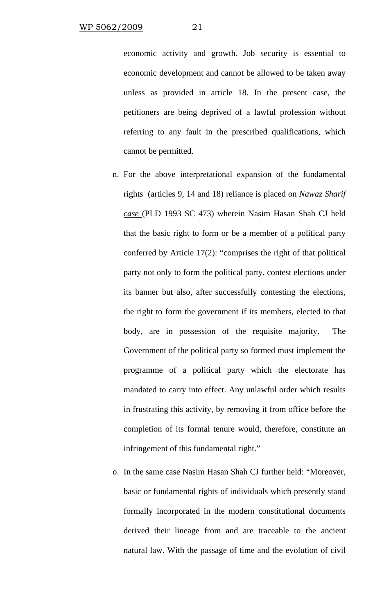economic activity and growth. Job security is essential to economic development and cannot be allowed to be taken away unless as provided in article 18. In the present case, the petitioners are being deprived of a lawful profession without referring to any fault in the prescribed qualifications, which cannot be permitted.

- n. For the above interpretational expansion of the fundamental rights (articles 9, 14 and 18) reliance is placed on *Nawaz Sharif case* (PLD 1993 SC 473) wherein Nasim Hasan Shah CJ held that the basic right to form or be a member of a political party conferred by Article 17(2): "comprises the right of that political party not only to form the political party, contest elections under its banner but also, after successfully contesting the elections, the right to form the government if its members, elected to that body, are in possession of the requisite majority. The Government of the political party so formed must implement the programme of a political party which the electorate has mandated to carry into effect. Any unlawful order which results in frustrating this activity, by removing it from office before the completion of its formal tenure would, therefore, constitute an infringement of this fundamental right."
- o. In the same case Nasim Hasan Shah CJ further held: "Moreover, basic or fundamental rights of individuals which presently stand formally incorporated in the modern constitutional documents derived their lineage from and are traceable to the ancient natural law. With the passage of time and the evolution of civil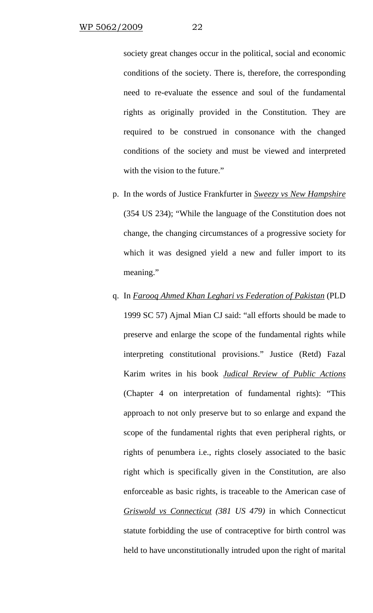society great changes occur in the political, social and economic conditions of the society. There is, therefore, the corresponding need to re-evaluate the essence and soul of the fundamental rights as originally provided in the Constitution. They are required to be construed in consonance with the changed conditions of the society and must be viewed and interpreted with the vision to the future."

- p. In the words of Justice Frankfurter in *Sweezy vs New Hampshire* (354 US 234); "While the language of the Constitution does not change, the changing circumstances of a progressive society for which it was designed yield a new and fuller import to its meaning."
- q. In *Farooq Ahmed Khan Leghari vs Federation of Pakistan* (PLD 1999 SC 57) Ajmal Mian CJ said: "all efforts should be made to preserve and enlarge the scope of the fundamental rights while interpreting constitutional provisions." Justice (Retd) Fazal Karim writes in his book *Judical Review of Public Actions* (Chapter 4 on interpretation of fundamental rights): "This approach to not only preserve but to so enlarge and expand the scope of the fundamental rights that even peripheral rights, or rights of penumbera i.e., rights closely associated to the basic right which is specifically given in the Constitution, are also enforceable as basic rights, is traceable to the American case of *Griswold vs Connecticut (381 US 479)* in which Connecticut statute forbidding the use of contraceptive for birth control was held to have unconstitutionally intruded upon the right of marital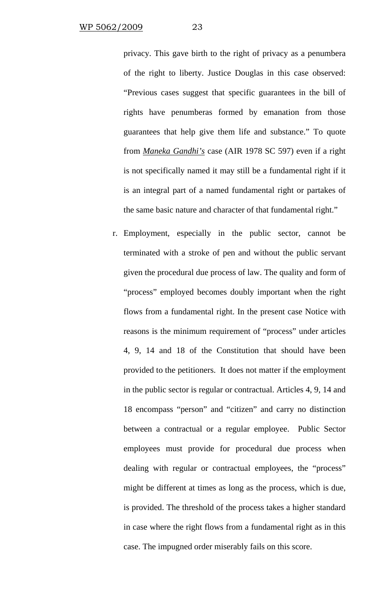privacy. This gave birth to the right of privacy as a penumbera of the right to liberty. Justice Douglas in this case observed: "Previous cases suggest that specific guarantees in the bill of rights have penumberas formed by emanation from those guarantees that help give them life and substance." To quote from *Maneka Gandhi's* case (AIR 1978 SC 597) even if a right is not specifically named it may still be a fundamental right if it is an integral part of a named fundamental right or partakes of the same basic nature and character of that fundamental right."

r. Employment, especially in the public sector, cannot be terminated with a stroke of pen and without the public servant given the procedural due process of law. The quality and form of "process" employed becomes doubly important when the right flows from a fundamental right. In the present case Notice with reasons is the minimum requirement of "process" under articles 4, 9, 14 and 18 of the Constitution that should have been provided to the petitioners. It does not matter if the employment in the public sector is regular or contractual. Articles 4, 9, 14 and 18 encompass "person" and "citizen" and carry no distinction between a contractual or a regular employee. Public Sector employees must provide for procedural due process when dealing with regular or contractual employees, the "process" might be different at times as long as the process, which is due, is provided. The threshold of the process takes a higher standard in case where the right flows from a fundamental right as in this case. The impugned order miserably fails on this score.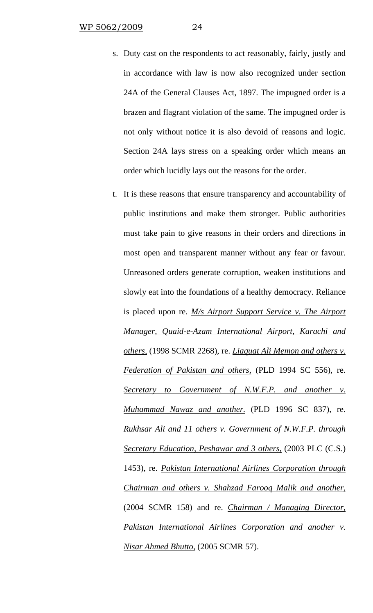- s. Duty cast on the respondents to act reasonably, fairly, justly and in accordance with law is now also recognized under section 24A of the General Clauses Act, 1897. The impugned order is a brazen and flagrant violation of the same. The impugned order is not only without notice it is also devoid of reasons and logic. Section 24A lays stress on a speaking order which means an order which lucidly lays out the reasons for the order.
- t. It is these reasons that ensure transparency and accountability of public institutions and make them stronger. Public authorities must take pain to give reasons in their orders and directions in most open and transparent manner without any fear or favour. Unreasoned orders generate corruption, weaken institutions and slowly eat into the foundations of a healthy democracy. Reliance is placed upon re. *M/s Airport Support Service v. The Airport Manager, Quaid-e-Azam International Airport, Karachi and others,* (1998 SCMR 2268), re. *Liaquat Ali Memon and others v. Federation of Pakistan and others,* (PLD 1994 SC 556), re. *Secretary to Government of N.W.F.P. and another v. Muhammad Nawaz and another.* (PLD 1996 SC 837), re. *Rukhsar Ali and 11 others v. Government of N.W.F.P. through Secretary Education, Peshawar and 3 others,* (2003 PLC (C.S.) 1453), re. *Pakistan International Airlines Corporation through Chairman and others v. Shahzad Farooq Malik and another,* (2004 SCMR 158) and re. *Chairman / Managing Director, Pakistan International Airlines Corporation and another v. Nisar Ahmed Bhutto,* (2005 SCMR 57).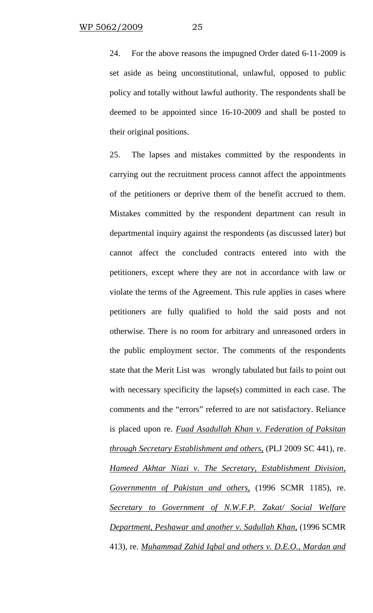24. For the above reasons the impugned Order dated 6-11-2009 is set aside as being unconstitutional, unlawful, opposed to public policy and totally without lawful authority. The respondents shall be deemed to be appointed since 16-10-2009 and shall be posted to their original positions.

25. The lapses and mistakes committed by the respondents in carrying out the recruitment process cannot affect the appointments of the petitioners or deprive them of the benefit accrued to them. Mistakes committed by the respondent department can result in departmental inquiry against the respondents (as discussed later) but cannot affect the concluded contracts entered into with the petitioners, except where they are not in accordance with law or violate the terms of the Agreement. This rule applies in cases where petitioners are fully qualified to hold the said posts and not otherwise. There is no room for arbitrary and unreasoned orders in the public employment sector. The comments of the respondents state that the Merit List was wrongly tabulated but fails to point out with necessary specificity the lapse(s) committed in each case. The comments and the "errors" referred to are not satisfactory. Reliance is placed upon re. *Fuad Asadullah Khan v. Federation of Paksitan through Secretary Establishment and others,* (PLJ 2009 SC 441), re. *Hameed Akhtar Niazi v. The Secretary, Establishment Division, Governmentn of Pakistan and others,* (1996 SCMR 1185), re. *Secretary to Government of N.W.F.P. Zakat/ Social Welfare Department, Peshawar and another v. Sadullah Khan,* (1996 SCMR 413), re. *Muhammad Zahid Iqbal and others v. D.E.O., Mardan and*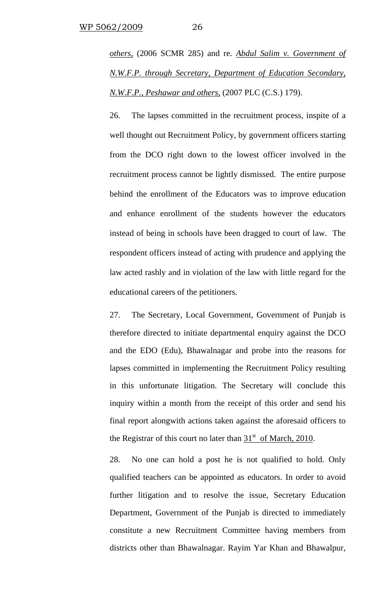*others,* (2006 SCMR 285) and re. *Abdul Salim v. Government of N.W.F.P. through Secretary, Department of Education Secondary, N.W.F.P., Peshawar and others,* (2007 PLC (C.S.) 179).

26. The lapses committed in the recruitment process, inspite of a well thought out Recruitment Policy, by government officers starting from the DCO right down to the lowest officer involved in the recruitment process cannot be lightly dismissed. The entire purpose behind the enrollment of the Educators was to improve education and enhance enrollment of the students however the educators instead of being in schools have been dragged to court of law. The respondent officers instead of acting with prudence and applying the law acted rashly and in violation of the law with little regard for the educational careers of the petitioners.

27. The Secretary, Local Government, Government of Punjab is therefore directed to initiate departmental enquiry against the DCO and the EDO (Edu), Bhawalnagar and probe into the reasons for lapses committed in implementing the Recruitment Policy resulting in this unfortunate litigation. The Secretary will conclude this inquiry within a month from the receipt of this order and send his final report alongwith actions taken against the aforesaid officers to the Registrar of this court no later than  $31<sup>st</sup>$  of March, 2010.

28. No one can hold a post he is not qualified to hold. Only qualified teachers can be appointed as educators. In order to avoid further litigation and to resolve the issue, Secretary Education Department, Government of the Punjab is directed to immediately constitute a new Recruitment Committee having members from districts other than Bhawalnagar. Rayim Yar Khan and Bhawalpur,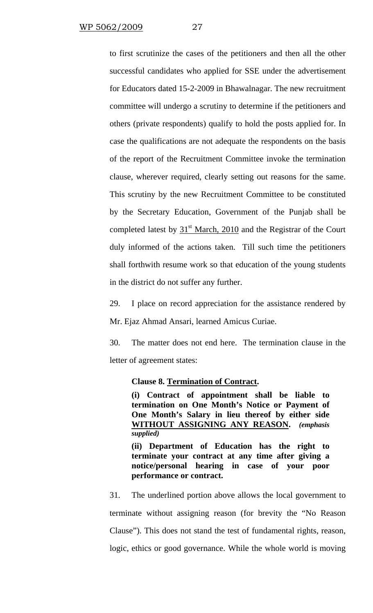to first scrutinize the cases of the petitioners and then all the other successful candidates who applied for SSE under the advertisement for Educators dated 15-2-2009 in Bhawalnagar. The new recruitment committee will undergo a scrutiny to determine if the petitioners and others (private respondents) qualify to hold the posts applied for. In case the qualifications are not adequate the respondents on the basis of the report of the Recruitment Committee invoke the termination clause, wherever required, clearly setting out reasons for the same. This scrutiny by the new Recruitment Committee to be constituted by the Secretary Education, Government of the Punjab shall be completed latest by  $31<sup>st</sup>$  March, 2010 and the Registrar of the Court duly informed of the actions taken. Till such time the petitioners shall forthwith resume work so that education of the young students in the district do not suffer any further.

29. I place on record appreciation for the assistance rendered by Mr. Ejaz Ahmad Ansari, learned Amicus Curiae.

30. The matter does not end here. The termination clause in the letter of agreement states:

### **Clause 8. Termination of Contract.**

**(i) Contract of appointment shall be liable to termination on One Month's Notice or Payment of One Month's Salary in lieu thereof by either side WITHOUT ASSIGNING ANY REASON.** *(emphasis supplied)* 

**(ii) Department of Education has the right to terminate your contract at any time after giving a notice/personal hearing in case of your poor performance or contract.** 

31. The underlined portion above allows the local government to terminate without assigning reason (for brevity the "No Reason Clause"). This does not stand the test of fundamental rights, reason, logic, ethics or good governance. While the whole world is moving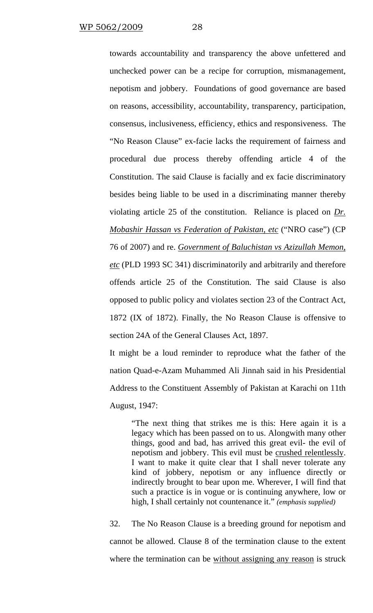towards accountability and transparency the above unfettered and unchecked power can be a recipe for corruption, mismanagement, nepotism and jobbery. Foundations of good governance are based on reasons, accessibility, accountability, transparency, participation, consensus, inclusiveness, efficiency, ethics and responsiveness. The "No Reason Clause" ex-facie lacks the requirement of fairness and procedural due process thereby offending article 4 of the Constitution. The said Clause is facially and ex facie discriminatory besides being liable to be used in a discriminating manner thereby violating article 25 of the constitution. Reliance is placed on *Dr. Mobashir Hassan vs Federation of Pakistan, etc* ("NRO case") (CP 76 of 2007) and re. *Government of Baluchistan vs Azizullah Memon, etc* (PLD 1993 SC 341) discriminatorily and arbitrarily and therefore offends article 25 of the Constitution. The said Clause is also opposed to public policy and violates section 23 of the Contract Act, 1872 (IX of 1872). Finally, the No Reason Clause is offensive to section 24A of the General Clauses Act, 1897.

It might be a loud reminder to reproduce what the father of the nation Quad-e-Azam Muhammed Ali Jinnah said in his Presidential Address to the Constituent Assembly of Pakistan at Karachi on 11th August, 1947:

"The next thing that strikes me is this: Here again it is a legacy which has been passed on to us. Alongwith many other things, good and bad, has arrived this great evil- the evil of nepotism and jobbery. This evil must be crushed relentlessly. I want to make it quite clear that I shall never tolerate any kind of jobbery, nepotism or any influence directly or indirectly brought to bear upon me. Wherever, I will find that such a practice is in vogue or is continuing anywhere, low or high, I shall certainly not countenance it." *(emphasis supplied)*

32. The No Reason Clause is a breeding ground for nepotism and cannot be allowed. Clause 8 of the termination clause to the extent where the termination can be without assigning any reason is struck